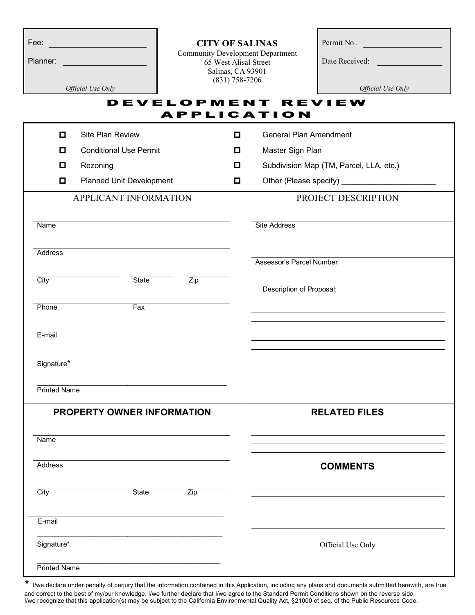|                       | Permit No.:                                                                          |
|-----------------------|--------------------------------------------------------------------------------------|
| 65 West Alisal Street | Date Received:                                                                       |
|                       | <b>CITY OF SALINAS</b><br>Community Development Department<br>Salinas $\cap$ 4.93901 |

Permit No.:

*Official Use Only Official Use Only*

Salinas, CA 93901 (831) 758-7206

### DEVELOPMENT REVIEW A PPLICATION

| $\Box$<br>Site Plan Review              | □ | <b>General Plan Amendment</b>           |
|-----------------------------------------|---|-----------------------------------------|
| <b>Conditional Use Permit</b><br>$\Box$ | O | Master Sign Plan                        |
| Rezoning<br>$\Box$                      | О | Subdivision Map (TM, Parcel, LLA, etc.) |
| Planned Unit Development<br>$\Box$      | o |                                         |
| APPLICANT INFORMATION                   |   | PROJECT DESCRIPTION                     |
| Name                                    |   | <b>Site Address</b>                     |
| Address                                 |   | <b>Assessor's Parcel Number</b>         |
|                                         |   |                                         |
| City<br>State<br>Zip                    |   | Description of Proposal:                |
| Phone<br>Fax                            |   |                                         |
| E-mail                                  |   |                                         |
| Signature*                              |   |                                         |
| Printed Name                            |   |                                         |
| PROPERTY OWNER INFORMATION              |   | <b>RELATED FILES</b>                    |
| Name                                    |   |                                         |
| <b>Address</b>                          |   | <b>COMMENTS</b>                         |
| City<br>State<br>Zip                    |   |                                         |
| E-mail                                  |   |                                         |
| Signature*                              |   | Official Use Only                       |
| Printed Name                            |   |                                         |

\* I/we declare under penalty of perjury that the information contained in this Application, including any plans and documents submitted herewith, are true and correct to the best of my/our knowledge. I/we further declare that I/we agree to the Standard Permit Conditions shown on the reverse side. I/we recognize that this application(s) may be subject to the California Environmental Quality Act, §21000 et seq. of the Public Resources Code.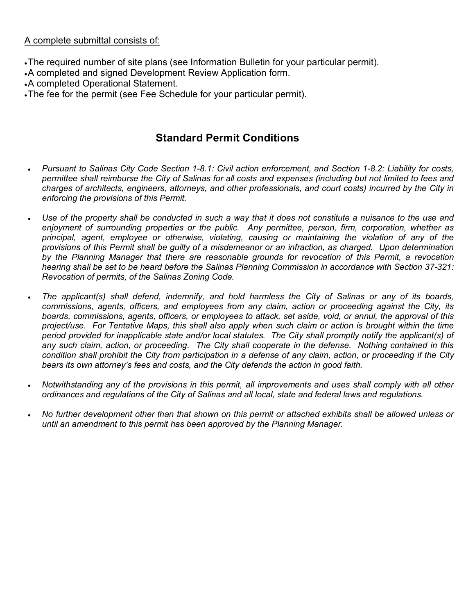#### A complete submittal consists of:

- •The required number of site plans (see Information Bulletin for your particular permit).
- •A completed and signed Development Review Application form.
- •A completed Operational Statement.
- •The fee for the permit (see Fee Schedule for your particular permit).

# **Standard Permit Conditions**

- *Pursuant to Salinas City Code Section 1-8.1: Civil action enforcement, and Section 1-8.2: Liability for costs, permittee shall reimburse the City of Salinas for all costs and expenses (including but not limited to fees and charges of architects, engineers, attorneys, and other professionals, and court costs) incurred by the City in enforcing the provisions of this Permit.*
- Use of the property shall be conducted in such a way that it does not constitute a nuisance to the use and *enjoyment of surrounding properties or the public. Any permittee, person, firm, corporation, whether as principal, agent, employee or otherwise, violating, causing or maintaining the violation of any of the provisions of this Permit shall be guilty of a misdemeanor or an infraction, as charged. Upon determination by the Planning Manager that there are reasonable grounds for revocation of this Permit, a revocation hearing shall be set to be heard before the Salinas Planning Commission in accordance with Section 37-321: Revocation of permits, of the Salinas Zoning Code.*
- *The applicant(s) shall defend, indemnify, and hold harmless the City of Salinas or any of its boards, commissions, agents, officers, and employees from any claim, action or proceeding against the City, its boards, commissions, agents, officers, or employees to attack, set aside, void, or annul, the approval of this project/use. For Tentative Maps, this shall also apply when such claim or action is brought within the time period provided for inapplicable state and/or local statutes. The City shall promptly notify the applicant(s) of any such claim, action, or proceeding. The City shall cooperate in the defense. Nothing contained in this condition shall prohibit the City from participation in a defense of any claim, action, or proceeding if the City bears its own attorney's fees and costs, and the City defends the action in good faith.*
- *Notwithstanding any of the provisions in this permit, all improvements and uses shall comply with all other ordinances and regulations of the City of Salinas and all local, state and federal laws and regulations.*
- *No further development other than that shown on this permit or attached exhibits shall be allowed unless or until an amendment to this permit has been approved by the Planning Manager.*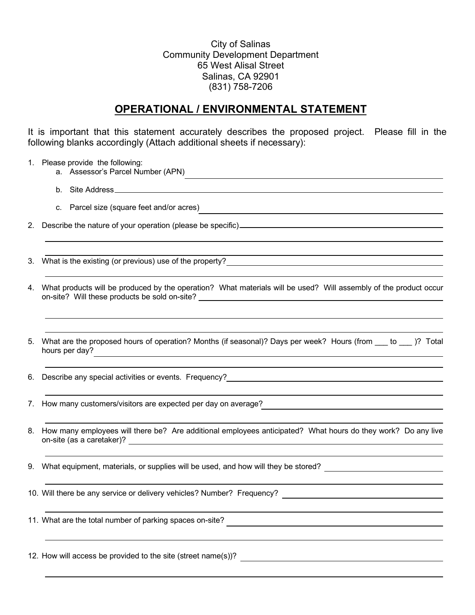City of Salinas Community Development Department 65 West Alisal Street Salinas, CA 92901 (831) 758-7206

## **OPERATIONAL / ENVIRONMENTAL STATEMENT**

It is important that this statement accurately describes the proposed project. Please fill in the following blanks accordingly (Attach additional sheets if necessary):

|    | 1. Please provide the following:<br>a. Assessor's Parcel Number (APN)                                                                                                                                                                                    |
|----|----------------------------------------------------------------------------------------------------------------------------------------------------------------------------------------------------------------------------------------------------------|
|    | b. Site Address entertainment of the Address of the Address of the Address of the Address of the Address of the Address of the Address of the Address of the Address of the Address of the Address of the Address of the Addre                           |
|    | c. Parcel size (square feet and/or acres)                                                                                                                                                                                                                |
|    |                                                                                                                                                                                                                                                          |
| 3. |                                                                                                                                                                                                                                                          |
| 4. | What products will be produced by the operation? What materials will be used? Will assembly of the product occur                                                                                                                                         |
| 5. | What are the proposed hours of operation? Months (if seasonal)? Days per week? Hours (from ___ to ___ )? Total<br>hours per day?<br><u> 1989 - Andrea Station Barbara, amerikan personal di sebagai personal di sebagai personal di sebagai personal</u> |
| 6. |                                                                                                                                                                                                                                                          |
|    | 7. How many customers/visitors are expected per day on average?                                                                                                                                                                                          |
|    | 8. How many employees will there be? Are additional employees anticipated? What hours do they work? Do any live                                                                                                                                          |
|    | 9. What equipment, materials, or supplies will be used, and how will they be stored? _________________________                                                                                                                                           |
|    | 10. Will there be any service or delivery vehicles? Number? Frequency?                                                                                                                                                                                   |
|    | 11. What are the total number of parking spaces on-site?                                                                                                                                                                                                 |
|    | 12. How will access be provided to the site (street name(s))?                                                                                                                                                                                            |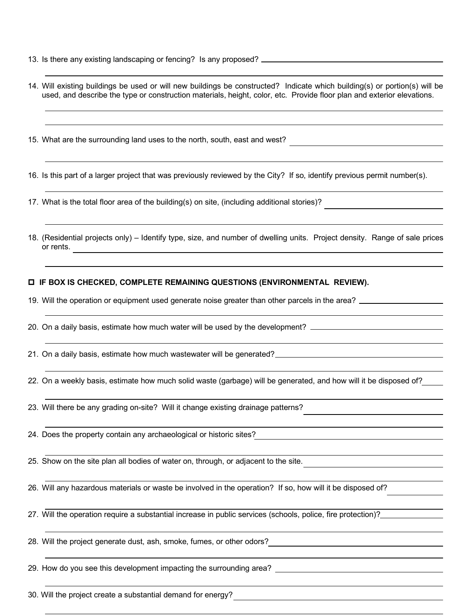- 13. Is there any existing landscaping or fencing? Is any proposed?
- 14. Will existing buildings be used or will new buildings be constructed? Indicate which building(s) or portion(s) will be used, and describe the type or construction materials, height, color, etc. Provide floor plan and exterior elevations.
- 15. What are the surrounding land uses to the north, south, east and west?

16. Is this part of a larger project that was previously reviewed by the City? If so, identify previous permit number(s).

- 17. What is the total floor area of the building(s) on site, (including additional stories)?
- 18. (Residential projects only) Identify type, size, and number of dwelling units. Project density. Range of sale prices or rents.

#### **IF BOX IS CHECKED, COMPLETE REMAINING QUESTIONS (ENVIRONMENTAL REVIEW).**

19. Will the operation or equipment used generate noise greater than other parcels in the area?

- 20. On a daily basis, estimate how much water will be used by the development? \_\_\_\_\_\_\_\_\_\_\_\_\_\_\_\_\_\_\_\_\_\_\_\_\_\_\_\_\_\_
- 21. On a daily basis, estimate how much wastewater will be generated?

22. On a weekly basis, estimate how much solid waste (garbage) will be generated, and how will it be disposed of?

23. Will there be any grading on-site? Will it change existing drainage patterns?

- 24. Does the property contain any archaeological or historic sites?
- 25. Show on the site plan all bodies of water on, through, or adjacent to the site.

26. Will any hazardous materials or waste be involved in the operation? If so, how will it be disposed of?

27. Will the operation require a substantial increase in public services (schools, police, fire protection)?

28. Will the project generate dust, ash, smoke, fumes, or other odors?

29. How do you see this development impacting the surrounding area?

30. Will the project create a substantial demand for energy?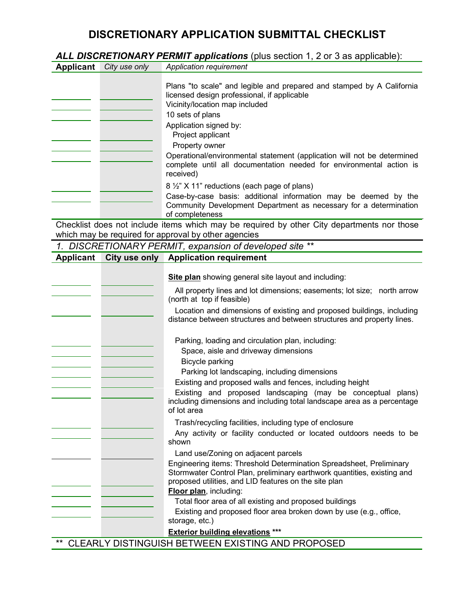## **DISCRETIONARY APPLICATION SUBMITTAL CHECKLIST**

*ALL DISCRETIONARY PERMIT applications* (plus section 1, 2 or 3 as applicable):

| <b>Applicant</b> | City use only | Application requirement                                                                                                                                                                                                                                                                                                                                                                       |
|------------------|---------------|-----------------------------------------------------------------------------------------------------------------------------------------------------------------------------------------------------------------------------------------------------------------------------------------------------------------------------------------------------------------------------------------------|
|                  |               | Plans "to scale" and legible and prepared and stamped by A California<br>licensed design professional, if applicable<br>Vicinity/location map included<br>10 sets of plans<br>Application signed by:<br>Project applicant<br>Property owner<br>Operational/environmental statement (application will not be determined<br>complete until all documentation needed for environmental action is |
|                  |               | received)<br>8 1/2" X 11" reductions (each page of plans)                                                                                                                                                                                                                                                                                                                                     |
|                  |               | Case-by-case basis: additional information may be deemed by the<br>Community Development Department as necessary for a determination<br>of completeness                                                                                                                                                                                                                                       |

Checklist does not include items which may be required by other City departments nor those which may be required for approval by other agencies

*1. DISCRETIONARY PERMIT, expansion of developed site \*\**

| <b>Applicant</b>                                                  | City use only | <b>Application requirement</b>                                                                                                                                                                                                                                                                                                                                                     |
|-------------------------------------------------------------------|---------------|------------------------------------------------------------------------------------------------------------------------------------------------------------------------------------------------------------------------------------------------------------------------------------------------------------------------------------------------------------------------------------|
|                                                                   |               | Site plan showing general site layout and including:                                                                                                                                                                                                                                                                                                                               |
|                                                                   |               | All property lines and lot dimensions; easements; lot size; north arrow<br>(north at top if feasible)                                                                                                                                                                                                                                                                              |
|                                                                   |               | Location and dimensions of existing and proposed buildings, including<br>distance between structures and between structures and property lines.                                                                                                                                                                                                                                    |
|                                                                   |               | Parking, loading and circulation plan, including:<br>Space, aisle and driveway dimensions<br>Bicycle parking<br>Parking lot landscaping, including dimensions<br>Existing and proposed walls and fences, including height<br>Existing and proposed landscaping (may be conceptual plans)<br>including dimensions and including total landscape area as a percentage<br>of lot area |
|                                                                   |               | Trash/recycling facilities, including type of enclosure<br>Any activity or facility conducted or located outdoors needs to be<br>shown                                                                                                                                                                                                                                             |
|                                                                   |               | Land use/Zoning on adjacent parcels<br>Engineering items: Threshold Determination Spreadsheet, Preliminary<br>Stormwater Control Plan, preliminary earthwork quantities, existing and<br>proposed utilities, and LID features on the site plan<br>Floor plan, including:                                                                                                           |
|                                                                   |               | Total floor area of all existing and proposed buildings<br>Existing and proposed floor area broken down by use (e.g., office,                                                                                                                                                                                                                                                      |
|                                                                   |               | storage, etc.)                                                                                                                                                                                                                                                                                                                                                                     |
|                                                                   |               | <b>Exterior building elevations</b> ***                                                                                                                                                                                                                                                                                                                                            |
| $\star\star$<br>CLEARLY DISTINGUISH BETWEEN EXISTING AND PROPOSED |               |                                                                                                                                                                                                                                                                                                                                                                                    |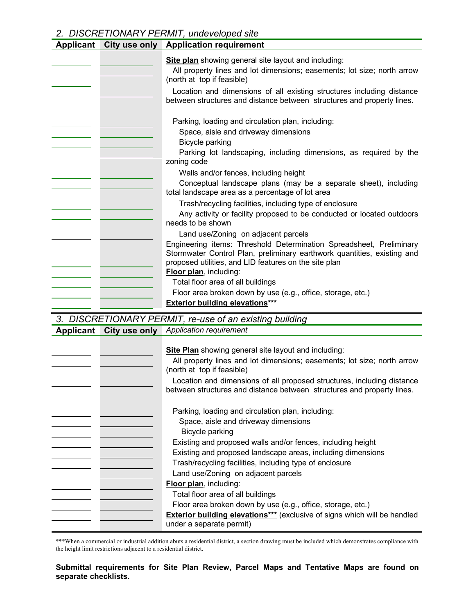#### *2. DISCRETIONARY PERMIT, undeveloped site*

| <b>Site plan</b> showing general site layout and including:<br>All property lines and lot dimensions; easements; lot size; north arrow<br>(north at top if feasible)<br>Location and dimensions of all existing structures including distance<br>between structures and distance between structures and property lines.<br>Parking, loading and circulation plan, including:<br>Space, aisle and driveway dimensions<br>Bicycle parking<br>Parking lot landscaping, including dimensions, as required by the<br>zoning code<br>Walls and/or fences, including height<br>Conceptual landscape plans (may be a separate sheet), including |
|-----------------------------------------------------------------------------------------------------------------------------------------------------------------------------------------------------------------------------------------------------------------------------------------------------------------------------------------------------------------------------------------------------------------------------------------------------------------------------------------------------------------------------------------------------------------------------------------------------------------------------------------|
|                                                                                                                                                                                                                                                                                                                                                                                                                                                                                                                                                                                                                                         |
|                                                                                                                                                                                                                                                                                                                                                                                                                                                                                                                                                                                                                                         |
| total landscape area as a percentage of lot area                                                                                                                                                                                                                                                                                                                                                                                                                                                                                                                                                                                        |
| Trash/recycling facilities, including type of enclosure<br>Any activity or facility proposed to be conducted or located outdoors<br>needs to be shown                                                                                                                                                                                                                                                                                                                                                                                                                                                                                   |
| Land use/Zoning on adjacent parcels<br>Engineering items: Threshold Determination Spreadsheet, Preliminary<br>Stormwater Control Plan, preliminary earthwork quantities, existing and<br>proposed utilities, and LID features on the site plan<br>Floor plan, including:<br>Total floor area of all buildings<br>Floor area broken down by use (e.g., office, storage, etc.)                                                                                                                                                                                                                                                            |
| <b>Exterior building elevations***</b><br>$\overline{D}$ $\overline{C}$ $\overline{D}$ $\overline{C}$ $\overline{T}$ $\overline{I}$ $\overline{C}$ $\overline{D}$ $\overline{D}$ $\overline{C}$ $\overline{D}$ $\overline{E}$ $\overline{D}$ $\overline{I}$ $\overline{I}$ $\overline{I}$ $\overline{I}$ $\overline{C}$ $\overline{D}$ $\overline{E}$ $\overline{T}$ $\overline{I}$ $\overline{C}$ $\overline{D}$ $\overline{C}$ $\overline{T}$ $\overline{I}$ $\overline{C}$<br>$\mathbf{P}$                                                                                                                                           |

| 3. DISCRETIONARY PERMIT, re-use of an existing building |               |                                                                                                                                                                                                                                                                                                                          |
|---------------------------------------------------------|---------------|--------------------------------------------------------------------------------------------------------------------------------------------------------------------------------------------------------------------------------------------------------------------------------------------------------------------------|
| Applicant                                               | City use only | Application requirement                                                                                                                                                                                                                                                                                                  |
|                                                         |               | <b>Site Plan</b> showing general site layout and including:<br>All property lines and lot dimensions; easements; lot size; north arrow<br>(north at top if feasible)<br>Location and dimensions of all proposed structures, including distance<br>between structures and distance between structures and property lines. |

| Parking, loading and circulation plan, including:<br>Space, aisle and driveway dimensions                    |
|--------------------------------------------------------------------------------------------------------------|
| Bicycle parking                                                                                              |
| Existing and proposed walls and/or fences, including height                                                  |
| Existing and proposed landscape areas, including dimensions                                                  |
| Trash/recycling facilities, including type of enclosure                                                      |
| Land use/Zoning on adjacent parcels                                                                          |
| <b>Floor plan</b> , including:                                                                               |
| Total floor area of all buildings                                                                            |
| Floor area broken down by use (e.g., office, storage, etc.)                                                  |
| <b>Exterior building elevations***</b> (exclusive of signs which will be handled<br>under a separate permit) |

\*\*\*When a commercial or industrial addition abuts a residential district, a section drawing must be included which demonstrates compliance with the height limit restrictions adjacent to a residential district.

#### **Submittal requirements for Site Plan Review, Parcel Maps and Tentative Maps are found on separate checklists.**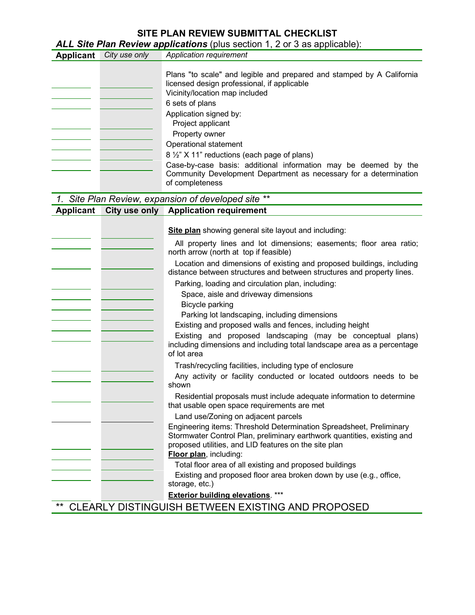## **SITE PLAN REVIEW SUBMITTAL CHECKLIST**

*ALL Site Plan Review applications* (plus section 1, 2 or 3 as applicable):

| <b>Applicant</b> | City use only | Application requirement                                                                                                                                                                                                                                                                                                                                                                                                                                                                                                                                                                                                                                                                                               |
|------------------|---------------|-----------------------------------------------------------------------------------------------------------------------------------------------------------------------------------------------------------------------------------------------------------------------------------------------------------------------------------------------------------------------------------------------------------------------------------------------------------------------------------------------------------------------------------------------------------------------------------------------------------------------------------------------------------------------------------------------------------------------|
|                  |               | Plans "to scale" and legible and prepared and stamped by A California<br>licensed design professional, if applicable<br>Vicinity/location map included<br>6 sets of plans<br>Application signed by:<br>Project applicant<br>Property owner<br>Operational statement<br>8 1/2" X 11" reductions (each page of plans)<br>Case-by-case basis: additional information may be deemed by the<br>Community Development Department as necessary for a determination<br>of completeness                                                                                                                                                                                                                                        |
|                  |               | 1. Site Plan Review, expansion of developed site                                                                                                                                                                                                                                                                                                                                                                                                                                                                                                                                                                                                                                                                      |
| <b>Applicant</b> |               | City use only Application requirement                                                                                                                                                                                                                                                                                                                                                                                                                                                                                                                                                                                                                                                                                 |
|                  |               | <b>Site plan</b> showing general site layout and including:<br>All property lines and lot dimensions; easements; floor area ratio;<br>north arrow (north at top if feasible)<br>Location and dimensions of existing and proposed buildings, including<br>distance between structures and between structures and property lines.<br>Parking, loading and circulation plan, including:<br>Space, aisle and driveway dimensions<br>Bicycle parking<br>Parking lot landscaping, including dimensions<br>Existing and proposed walls and fences, including height<br>Existing and proposed landscaping (may be conceptual plans)<br>including dimensions and including total landscape area as a percentage<br>of lot area |
|                  |               | Trash/recycling facilities, including type of enclosure<br>Any activity or facility conducted or located outdoors needs to be<br>shown<br>Residential proposals must include adequate information to determine<br>that usable open space requirements are met<br>Land use/Zoning on adjacent parcels<br>Engineering items: Threshold Determination Spreadsheet, Preliminary<br>Stormwater Control Plan, preliminary earthwork quantities, existing and<br>proposed utilities, and LID features on the site plan<br>Floor plan, including:                                                                                                                                                                             |
|                  |               | Total floor area of all existing and proposed buildings<br>Existing and proposed floor area broken down by use (e.g., office,<br>storage, etc.)<br><b>Exterior building elevations.</b> ***<br>TUELLEVIOTING AND DRODOOED                                                                                                                                                                                                                                                                                                                                                                                                                                                                                             |

\*\* CLEARLY DISTINGUISH BETWEEN EXISTING AND PROPOSED